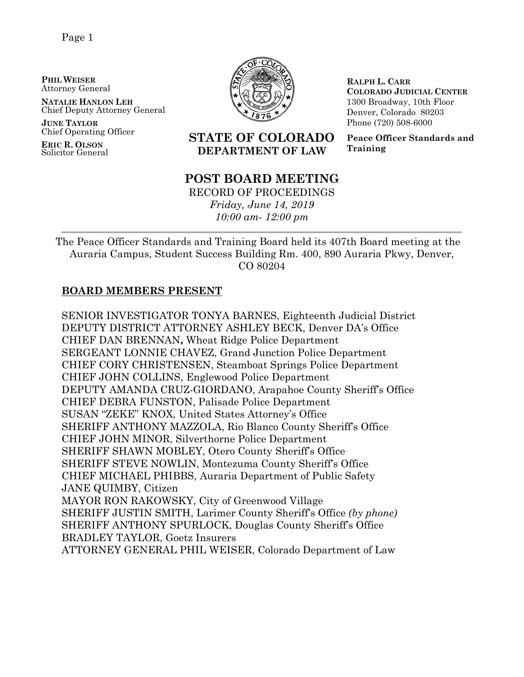**PHIL WEISER** Attorney General

**NATALIE HANLON LEH** Chief Deputy Attorney General

**JUNE TAYLOR** Chief Operating Officer

**ERIC R. OLSON** Solicitor General



**RALPH L. CARR COLORADO JUDICIAL CENTER** 1300 Broadway, 10th Floor Denver, Colorado 80203 Phone (720) 508-6000

**Peace Officer Standards and Training**

# **STATE OF COLORADO DEPARTMENT OF LAW**

# **POST BOARD MEETING**

RECORD OF PROCEEDINGS *Friday, June 14, 2019 10:00 am- 12:00 pm*

The Peace Officer Standards and Training Board held its 407th Board meeting at the Auraria Campus, Student Success Building Rm. 400, 890 Auraria Pkwy, Denver, CO 80204

# **BOARD MEMBERS PRESENT**

SENIOR INVESTIGATOR TONYA BARNES, Eighteenth Judicial District DEPUTY DISTRICT ATTORNEY ASHLEY BECK, Denver DA's Office CHIEF DAN BRENNAN**,** Wheat Ridge Police Department SERGEANT LONNIE CHAVEZ, Grand Junction Police Department CHIEF CORY CHRISTENSEN, Steamboat Springs Police Department CHIEF JOHN COLLINS, Englewood Police Department DEPUTY AMANDA CRUZ-GIORDANO, Arapahoe County Sheriff's Office CHIEF DEBRA FUNSTON, Palisade Police Department SUSAN "ZEKE" KNOX, United States Attorney's Office SHERIFF ANTHONY MAZZOLA, Rio Blanco County Sheriff's Office CHIEF JOHN MINOR, Silverthorne Police Department SHERIFF SHAWN MOBLEY, Otero County Sheriff's Office SHERIFF STEVE NOWLIN, Montezuma County Sheriff's Office CHIEF MICHAEL PHIBBS, Auraria Department of Public Safety JANE QUIMBY, Citizen MAYOR RON RAKOWSKY, City of Greenwood Village SHERIFF JUSTIN SMITH, Larimer County Sheriff's Office *(by phone)* SHERIFF ANTHONY SPURLOCK, Douglas County Sheriff's Office BRADLEY TAYLOR, Goetz Insurers ATTORNEY GENERAL PHIL WEISER, Colorado Department of Law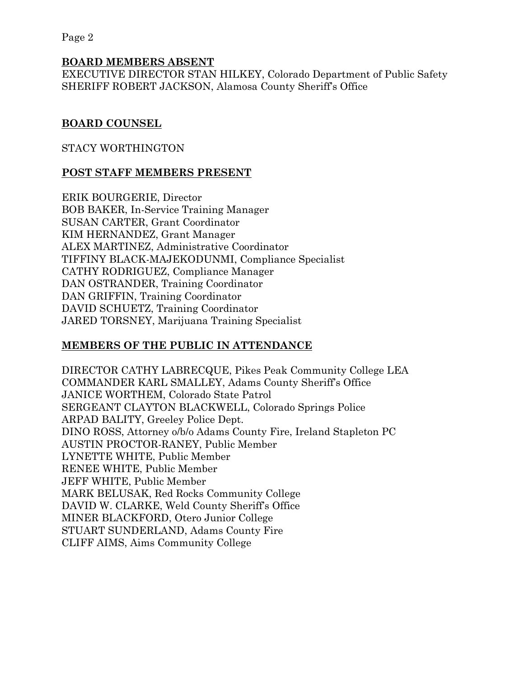#### **BOARD MEMBERS ABSENT**

EXECUTIVE DIRECTOR STAN HILKEY, Colorado Department of Public Safety SHERIFF ROBERT JACKSON, Alamosa County Sheriff's Office

#### **BOARD COUNSEL**

#### STACY WORTHINGTON

#### **POST STAFF MEMBERS PRESENT**

ERIK BOURGERIE, Director BOB BAKER, In-Service Training Manager SUSAN CARTER, Grant Coordinator KIM HERNANDEZ, Grant Manager ALEX MARTINEZ, Administrative Coordinator TIFFINY BLACK-MAJEKODUNMI, Compliance Specialist CATHY RODRIGUEZ, Compliance Manager DAN OSTRANDER, Training Coordinator DAN GRIFFIN, Training Coordinator DAVID SCHUETZ, Training Coordinator JARED TORSNEY, Marijuana Training Specialist

# **MEMBERS OF THE PUBLIC IN ATTENDANCE**

DIRECTOR CATHY LABRECQUE, Pikes Peak Community College LEA COMMANDER KARL SMALLEY, Adams County Sheriff's Office JANICE WORTHEM, Colorado State Patrol SERGEANT CLAYTON BLACKWELL, Colorado Springs Police ARPAD BALITY, Greeley Police Dept. DINO ROSS, Attorney o/b/o Adams County Fire, Ireland Stapleton PC AUSTIN PROCTOR-RANEY, Public Member LYNETTE WHITE, Public Member RENEE WHITE, Public Member JEFF WHITE, Public Member MARK BELUSAK, Red Rocks Community College DAVID W. CLARKE, Weld County Sheriff's Office MINER BLACKFORD, Otero Junior College STUART SUNDERLAND, Adams County Fire CLIFF AIMS, Aims Community College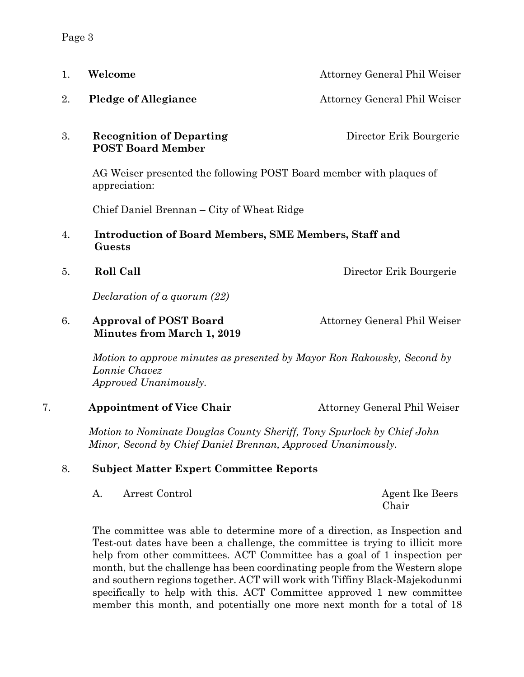| 1. | Welcome                                                                                                                                | <b>Attorney General Phil Weiser</b> |
|----|----------------------------------------------------------------------------------------------------------------------------------------|-------------------------------------|
| 2. | <b>Pledge of Allegiance</b>                                                                                                            | Attorney General Phil Weiser        |
| 3. | <b>Recognition of Departing</b><br><b>POST Board Member</b>                                                                            | Director Erik Bourgerie             |
|    | AG Weiser presented the following POST Board member with plaques of<br>appreciation:<br>Chief Daniel Brennan - City of Wheat Ridge     |                                     |
|    |                                                                                                                                        |                                     |
| 4. | <b>Introduction of Board Members, SME Members, Staff and</b><br>Guests                                                                 |                                     |
| 5. | <b>Roll Call</b>                                                                                                                       | Director Erik Bourgerie             |
|    | Declaration of a quorum (22)                                                                                                           |                                     |
| 6. | <b>Approval of POST Board</b><br><b>Minutes from March 1, 2019</b>                                                                     | Attorney General Phil Weiser        |
|    | Motion to approve minutes as presented by Mayor Ron Rakowsky, Second by<br>Lonnie Chavez<br>Approved Unanimously.                      |                                     |
| 7. | <b>Appointment of Vice Chair</b>                                                                                                       | Attorney General Phil Weiser        |
|    | Motion to Nominate Douglas County Sheriff, Tony Spurlock by Chief John<br>Minor, Second by Chief Daniel Brennan, Approved Unanimously. |                                     |

# 8. **Subject Matter Expert Committee Reports**

A. Arrest Control<br> **Agent Ike Beers** 

Chair

The committee was able to determine more of a direction, as Inspection and Test-out dates have been a challenge, the committee is trying to illicit more help from other committees. ACT Committee has a goal of 1 inspection per month, but the challenge has been coordinating people from the Western slope and southern regions together. ACT will work with Tiffiny Black-Majekodunmi specifically to help with this. ACT Committee approved 1 new committee member this month, and potentially one more next month for a total of 18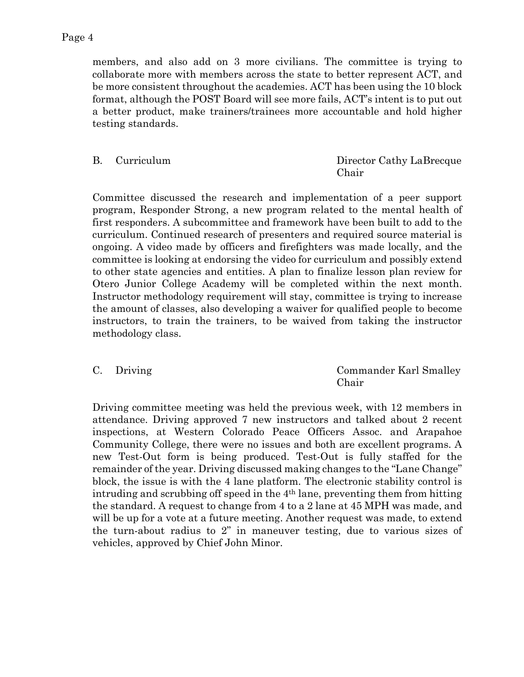members, and also add on 3 more civilians. The committee is trying to collaborate more with members across the state to better represent ACT, and be more consistent throughout the academies. ACT has been using the 10 block format, although the POST Board will see more fails, ACT's intent is to put out a better product, make trainers/trainees more accountable and hold higher testing standards.

B. Curriculum Director Cathy LaBrecque Chair

Committee discussed the research and implementation of a peer support program, Responder Strong, a new program related to the mental health of first responders. A subcommittee and framework have been built to add to the curriculum. Continued research of presenters and required source material is ongoing. A video made by officers and firefighters was made locally, and the committee is looking at endorsing the video for curriculum and possibly extend to other state agencies and entities. A plan to finalize lesson plan review for Otero Junior College Academy will be completed within the next month. Instructor methodology requirement will stay, committee is trying to increase the amount of classes, also developing a waiver for qualified people to become instructors, to train the trainers, to be waived from taking the instructor methodology class.

C. Driving Commander Karl Smalley Chair

Driving committee meeting was held the previous week, with 12 members in attendance. Driving approved 7 new instructors and talked about 2 recent inspections, at Western Colorado Peace Officers Assoc. and Arapahoe Community College, there were no issues and both are excellent programs. A new Test-Out form is being produced. Test-Out is fully staffed for the remainder of the year. Driving discussed making changes to the "Lane Change" block, the issue is with the 4 lane platform. The electronic stability control is intruding and scrubbing off speed in the 4th lane, preventing them from hitting the standard. A request to change from 4 to a 2 lane at 45 MPH was made, and will be up for a vote at a future meeting. Another request was made, to extend the turn-about radius to 2" in maneuver testing, due to various sizes of vehicles, approved by Chief John Minor.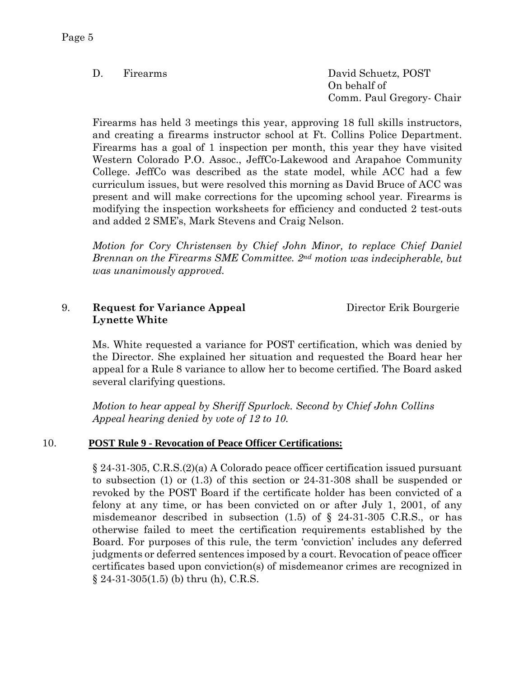D. Firearms David Schuetz, POST On behalf of Comm. Paul Gregory- Chair

Firearms has held 3 meetings this year, approving 18 full skills instructors, and creating a firearms instructor school at Ft. Collins Police Department. Firearms has a goal of 1 inspection per month, this year they have visited Western Colorado P.O. Assoc., JeffCo-Lakewood and Arapahoe Community College. JeffCo was described as the state model, while ACC had a few curriculum issues, but were resolved this morning as David Bruce of ACC was present and will make corrections for the upcoming school year. Firearms is modifying the inspection worksheets for efficiency and conducted 2 test-outs and added 2 SME's, Mark Stevens and Craig Nelson.

*Motion for Cory Christensen by Chief John Minor, to replace Chief Daniel Brennan on the Firearms SME Committee. 2nd motion was indecipherable, but was unanimously approved.*

#### 9. **Request for Variance Appeal** Director Erik Bourgerie **Lynette White**

Ms. White requested a variance for POST certification, which was denied by the Director. She explained her situation and requested the Board hear her appeal for a Rule 8 variance to allow her to become certified. The Board asked several clarifying questions.

*Motion to hear appeal by Sheriff Spurlock. Second by Chief John Collins Appeal hearing denied by vote of 12 to 10.*

# 10. **POST Rule 9 - Revocation of Peace Officer Certifications:**

§ 24-31-305, C.R.S.(2)(a) A Colorado peace officer certification issued pursuant to subsection (1) or (1.3) of this section or 24-31-308 shall be suspended or revoked by the POST Board if the certificate holder has been convicted of a felony at any time, or has been convicted on or after July 1, 2001, of any misdemeanor described in subsection  $(1.5)$  of § 24-31-305 C.R.S., or has otherwise failed to meet the certification requirements established by the Board. For purposes of this rule, the term 'conviction' includes any deferred judgments or deferred sentences imposed by a court. Revocation of peace officer certificates based upon conviction(s) of misdemeanor crimes are recognized in § 24-31-305(1.5) (b) thru (h), C.R.S.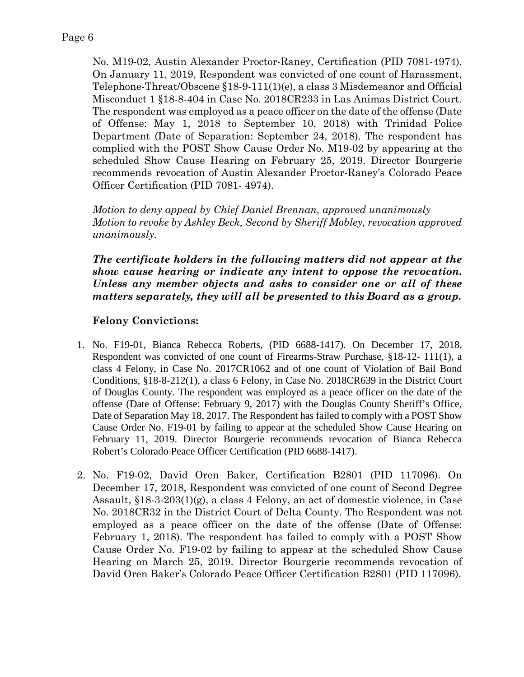No. M19-02, Austin Alexander Proctor-Raney, Certification (PID 7081-4974). On January 11, 2019, Respondent was convicted of one count of Harassment, Telephone-Threat/Obscene §18-9-111(1)(e), a class 3 Misdemeanor and Official Misconduct 1 §18-8-404 in Case No. 2018CR233 in Las Animas District Court. The respondent was employed as a peace officer on the date of the offense (Date of Offense: May 1, 2018 to September 10, 2018) with Trinidad Police Department (Date of Separation: September 24, 2018). The respondent has complied with the POST Show Cause Order No. M19-02 by appearing at the scheduled Show Cause Hearing on February 25, 2019. Director Bourgerie recommends revocation of Austin Alexander Proctor-Raney's Colorado Peace Officer Certification (PID 7081- 4974).

*Motion to deny appeal by Chief Daniel Brennan, approved unanimously Motion to revoke by Ashley Beck, Second by Sheriff Mobley, revocation approved unanimously.*

*The certificate holders in the following matters did not appear at the show cause hearing or indicate any intent to oppose the revocation. Unless any member objects and asks to consider one or all of these matters separately, they will all be presented to this Board as a group.*

# **Felony Convictions:**

- 1. No. F19-01, Bianca Rebecca Roberts, (PID 6688-1417). On December 17, 2018, Respondent was convicted of one count of Firearms-Straw Purchase, §18-12- 111(1), a class 4 Felony, in Case No. 2017CR1062 and of one count of Violation of Bail Bond Conditions, §18-8-212(1), a class 6 Felony, in Case No. 2018CR639 in the District Court of Douglas County. The respondent was employed as a peace officer on the date of the offense (Date of Offense: February 9, 2017) with the Douglas County Sheriff's Office, Date of Separation May 18, 2017. The Respondent has failed to comply with a POST Show Cause Order No. F19-01 by failing to appear at the scheduled Show Cause Hearing on February 11, 2019. Director Bourgerie recommends revocation of Bianca Rebecca Robert's Colorado Peace Officer Certification (PID 6688-1417).
- 2. No. F19-02, David Oren Baker, Certification B2801 (PID 117096). On December 17, 2018, Respondent was convicted of one count of Second Degree Assault, §18-3-203(1)(g), a class 4 Felony, an act of domestic violence, in Case No. 2018CR32 in the District Court of Delta County. The Respondent was not employed as a peace officer on the date of the offense (Date of Offense: February 1, 2018). The respondent has failed to comply with a POST Show Cause Order No. F19-02 by failing to appear at the scheduled Show Cause Hearing on March 25, 2019. Director Bourgerie recommends revocation of David Oren Baker's Colorado Peace Officer Certification B2801 (PID 117096).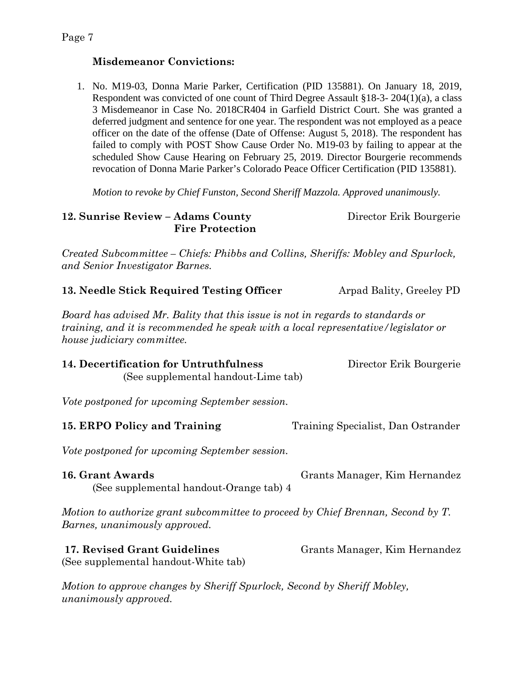# **Misdemeanor Convictions:**

1. No. M19-03, Donna Marie Parker, Certification (PID 135881). On January 18, 2019, Respondent was convicted of one count of Third Degree Assault §18-3- 204(1)(a), a class 3 Misdemeanor in Case No. 2018CR404 in Garfield District Court. She was granted a deferred judgment and sentence for one year. The respondent was not employed as a peace officer on the date of the offense (Date of Offense: August 5, 2018). The respondent has failed to comply with POST Show Cause Order No. M19-03 by failing to appear at the scheduled Show Cause Hearing on February 25, 2019. Director Bourgerie recommends revocation of Donna Marie Parker's Colorado Peace Officer Certification (PID 135881).

*Motion to revoke by Chief Funston, Second Sheriff Mazzola. Approved unanimously.*

**12. Sunrise Review – Adams County** Director Erik Bourgerie **Fire Protection**

*Created Subcommittee – Chiefs: Phibbs and Collins, Sheriffs: Mobley and Spurlock, and Senior Investigator Barnes.*

**13. Needle Stick Required Testing Officer** Arpad Bality, Greeley PD

*Board has advised Mr. Bality that this issue is not in regards to standards or training, and it is recommended he speak with a local representative/legislator or house judiciary committee.* 

| 14. Decertification for Untruthfulness | Director Erik Bourgerie |
|----------------------------------------|-------------------------|
| (See supplemental handout-Lime tab)    |                         |

*Vote postponed for upcoming September session.*

**15. ERPO Policy and Training** Training Specialist, Dan Ostrander

*Vote postponed for upcoming September session.*

**16. Grant Awards** Grants Manager, Kim Hernandez (See supplemental handout-Orange tab) 4

*Motion to authorize grant subcommittee to proceed by Chief Brennan, Second by T. Barnes, unanimously approved.*

**17. Revised Grant Guidelines** Grants Manager, Kim Hernandez (See supplemental handout-White tab)

*Motion to approve changes by Sheriff Spurlock, Second by Sheriff Mobley, unanimously approved.*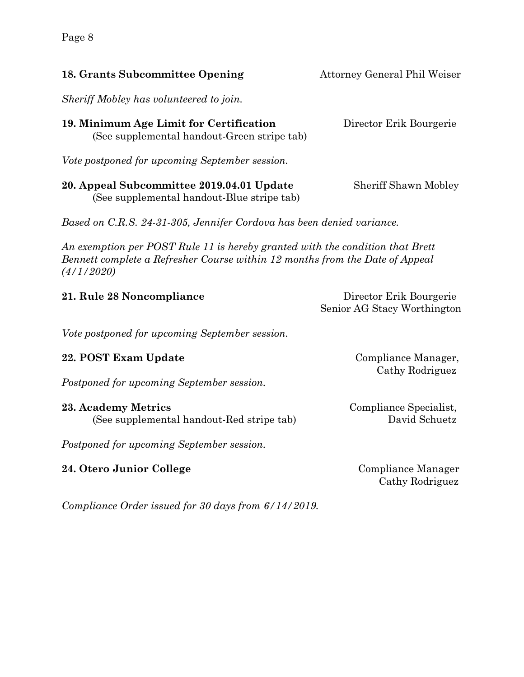**18. Grants Subcommittee Opening Fig. 3. Attorney General Phil Weiser** *Sheriff Mobley has volunteered to join.*  **19. Minimum Age Limit for Certification** Director Erik Bourgerie (See supplemental handout-Green stripe tab) *Vote postponed for upcoming September session.*

**20. Appeal Subcommittee 2019.04.01 Update** Sheriff Shawn Mobley (See supplemental handout-Blue stripe tab)

*Based on C.R.S. 24-31-305, Jennifer Cordova has been denied variance.* 

*An exemption per POST Rule 11 is hereby granted with the condition that Brett Bennett complete a Refresher Course within 12 months from the Date of Appeal (4/1/2020)*

**21. Rule 28 Noncompliance** Director Erik Bourgerie Senior AG Stacy Worthington

*Vote postponed for upcoming September session.*

# **22. POST Exam Update** Compliance Manager,

*Postponed for upcoming September session.*

#### **23. Academy Metrics** Compliance Specialist, (See supplemental handout-Red stripe tab) David Schuetz

*Postponed for upcoming September session.*

# **24. Otero Junior College** Compliance Manager

Cathy Rodriguez

*Compliance Order issued for 30 days from 6/14/2019.* 

Cathy Rodriguez